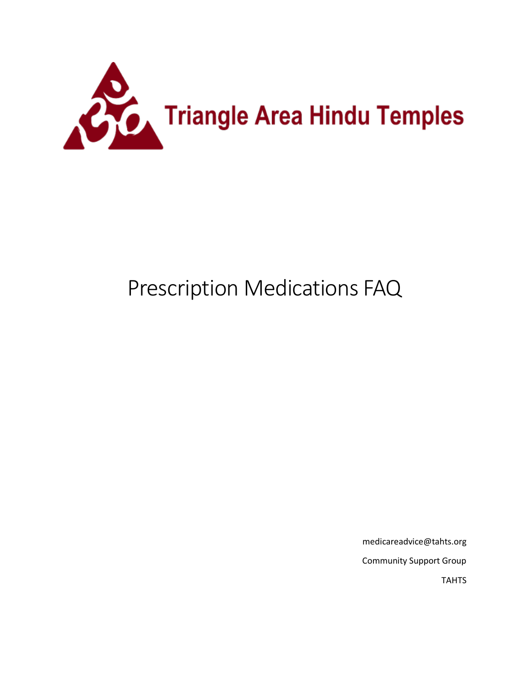

# Prescription Medications FAQ

medicareadvice@tahts.org Community Support Group TAHTS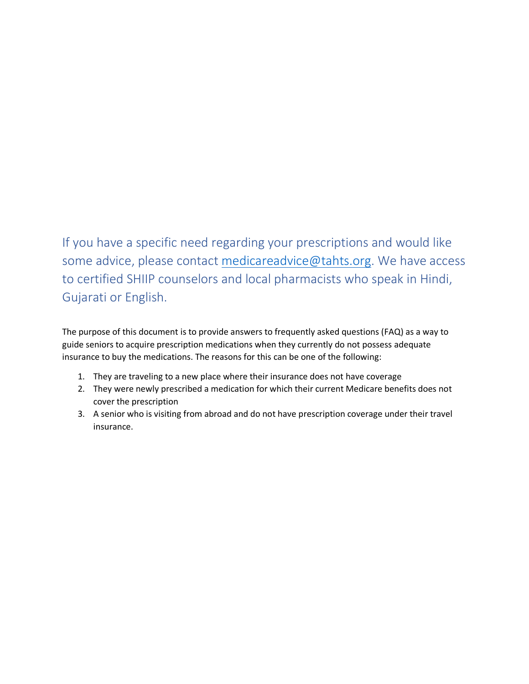If you have a specific need regarding your prescriptions and would like some advice, please contact [medicareadvice@tahts.org.](mailto:medicareadvice@tahts.org) We have access to certified SHIIP counselors and local pharmacists who speak in Hindi, Gujarati or English.

The purpose of this document is to provide answers to frequently asked questions (FAQ) as a way to guide seniors to acquire prescription medications when they currently do not possess adequate insurance to buy the medications. The reasons for this can be one of the following:

- 1. They are traveling to a new place where their insurance does not have coverage
- 2. They were newly prescribed a medication for which their current Medicare benefits does not cover the prescription
- 3. A senior who is visiting from abroad and do not have prescription coverage under their travel insurance.